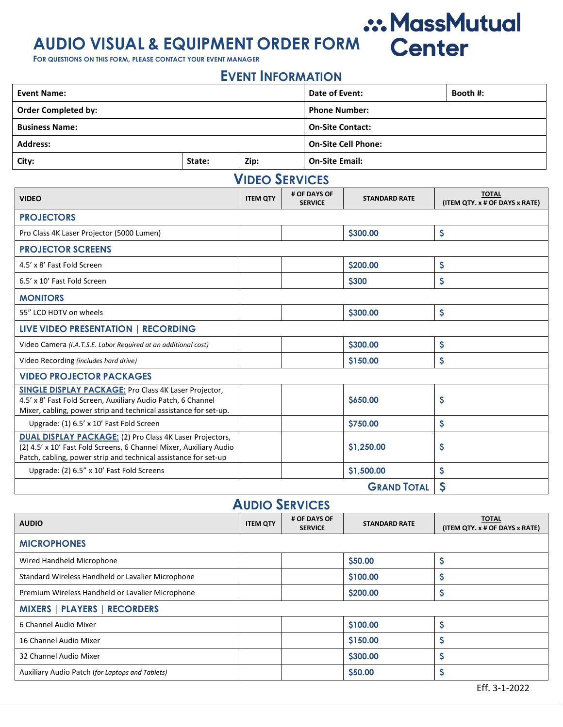# **AUDIO VISUAL & EQUIPMENT ORDER FORM**

**FOR QUESTIONS ON THIS FORM, PLEASE CONTACT YOUR EVENT MANAGER**

#### **EVENT INFORMATION**

.:. MassMutual

| <b>Event Name:</b>                                                                                                                                                                                       |        |                       | Date of Event:       |                                |                            | Booth #: |                                                |
|----------------------------------------------------------------------------------------------------------------------------------------------------------------------------------------------------------|--------|-----------------------|----------------------|--------------------------------|----------------------------|----------|------------------------------------------------|
|                                                                                                                                                                                                          |        |                       |                      |                                |                            |          |                                                |
| <b>Order Completed by:</b>                                                                                                                                                                               |        |                       | <b>Phone Number:</b> |                                |                            |          |                                                |
| <b>Business Name:</b>                                                                                                                                                                                    |        |                       |                      | <b>On-Site Contact:</b>        |                            |          |                                                |
| <b>Address:</b>                                                                                                                                                                                          |        |                       |                      |                                | <b>On-Site Cell Phone:</b> |          |                                                |
| City:                                                                                                                                                                                                    | State: | Zip:                  |                      |                                | <b>On-Site Email:</b>      |          |                                                |
|                                                                                                                                                                                                          |        | <b>VIDEO SERVICES</b> |                      |                                |                            |          |                                                |
| <b>VIDEO</b>                                                                                                                                                                                             |        | <b>ITEM QTY</b>       |                      | # OF DAYS OF<br><b>SERVICE</b> | <b>STANDARD RATE</b>       |          | <b>TOTAL</b><br>(ITEM QTY. x # OF DAYS x RATE) |
| <b>PROJECTORS</b>                                                                                                                                                                                        |        |                       |                      |                                |                            |          |                                                |
| Pro Class 4K Laser Projector (5000 Lumen)                                                                                                                                                                |        |                       |                      |                                | \$300.00                   | \$       |                                                |
| <b>PROJECTOR SCREENS</b>                                                                                                                                                                                 |        |                       |                      |                                |                            |          |                                                |
| 4.5' x 8' Fast Fold Screen                                                                                                                                                                               |        |                       |                      |                                | \$200.00                   | \$       |                                                |
| 6.5' x 10' Fast Fold Screen                                                                                                                                                                              |        |                       |                      |                                | <b>\$300</b>               | \$       |                                                |
| <b>MONITORS</b>                                                                                                                                                                                          |        |                       |                      |                                |                            |          |                                                |
| 55" LCD HDTV on wheels                                                                                                                                                                                   |        |                       |                      |                                | \$300.00                   | \$       |                                                |
| LIVE VIDEO PRESENTATION   RECORDING                                                                                                                                                                      |        |                       |                      |                                |                            |          |                                                |
| Video Camera (I.A.T.S.E. Labor Required at an additional cost)                                                                                                                                           |        |                       |                      |                                | \$300.00                   | \$       |                                                |
| Video Recording (includes hard drive)                                                                                                                                                                    |        |                       |                      |                                | \$150.00                   | \$       |                                                |
| <b>VIDEO PROJECTOR PACKAGES</b>                                                                                                                                                                          |        |                       |                      |                                |                            |          |                                                |
| <b>SINGLE DISPLAY PACKAGE: Pro Class 4K Laser Projector,</b><br>4.5' x 8' Fast Fold Screen, Auxiliary Audio Patch, 6 Channel<br>Mixer, cabling, power strip and technical assistance for set-up.         |        |                       |                      |                                | \$650.00                   | \$       |                                                |
| Upgrade: (1) 6.5' x 10' Fast Fold Screen                                                                                                                                                                 |        |                       |                      |                                | <b>\$750.00</b>            | \$       |                                                |
| <b>DUAL DISPLAY PACKAGE: (2) Pro Class 4K Laser Projectors,</b><br>(2) 4.5' x 10' Fast Fold Screens, 6 Channel Mixer, Auxiliary Audio<br>Patch, cabling, power strip and technical assistance for set-up |        |                       |                      |                                | \$1,250.00                 | \$       |                                                |
| Upgrade: (2) 6.5" x 10' Fast Fold Screens                                                                                                                                                                |        |                       |                      |                                | \$1,500.00                 | \$       |                                                |
|                                                                                                                                                                                                          |        |                       |                      |                                | <b>GRAND TOTAL</b>         | \$       |                                                |

#### **AUDIO SERVICES**

| <b>AUDIO</b>                                      | <b>ITEM QTY</b> | # OF DAYS OF<br><b>SERVICE</b> | <b>STANDARD RATE</b> | <b>TOTAL</b><br>(ITEM QTY. x # OF DAYS x RATE) |  |  |
|---------------------------------------------------|-----------------|--------------------------------|----------------------|------------------------------------------------|--|--|
| <b>MICROPHONES</b>                                |                 |                                |                      |                                                |  |  |
| Wired Handheld Microphone                         |                 |                                | \$50.00              | \$                                             |  |  |
| Standard Wireless Handheld or Lavalier Microphone |                 |                                | \$100.00             | \$                                             |  |  |
| Premium Wireless Handheld or Lavalier Microphone  |                 |                                | \$200.00             | Ş                                              |  |  |
| <b>MIXERS   PLAYERS   RECORDERS</b>               |                 |                                |                      |                                                |  |  |
| 6 Channel Audio Mixer                             |                 |                                | \$100.00             | \$                                             |  |  |
| 16 Channel Audio Mixer                            |                 |                                | \$150.00             | \$                                             |  |  |
| 32 Channel Audio Mixer                            |                 |                                | \$300.00             | \$                                             |  |  |
| Auxiliary Audio Patch (for Laptops and Tablets)   |                 |                                | \$50.00              | \$                                             |  |  |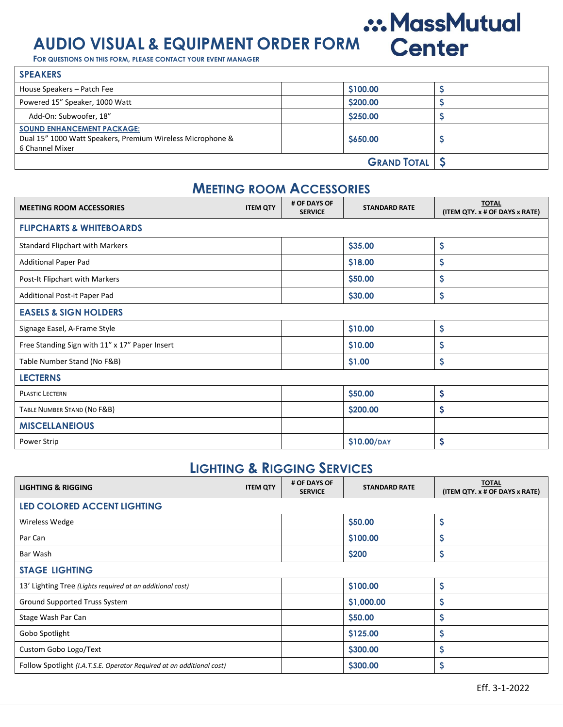## .:. MassMutual **AUDIO VISUAL & EQUIPMENT ORDER FORM**

**FOR QUESTIONS ON THIS FORM, PLEASE CONTACT YOUR EVENT MANAGER**

| <b>SPEAKERS</b>                                                                                                    |                      |  |
|--------------------------------------------------------------------------------------------------------------------|----------------------|--|
| House Speakers - Patch Fee                                                                                         | \$100.00             |  |
| Powered 15" Speaker, 1000 Watt                                                                                     | \$200.00             |  |
| Add-On: Subwoofer, 18"                                                                                             | \$250.00             |  |
| <b>SOUND ENHANCEMENT PACKAGE:</b><br>Dual 15" 1000 Watt Speakers, Premium Wireless Microphone &<br>6 Channel Mixer | S650.00              |  |
|                                                                                                                    | <b>GRAND TOTAL S</b> |  |

#### **MEETING ROOM ACCESSORIES**

| <b>MEETING ROOM ACCESSORIES</b>                | <b>ITEM QTY</b> | # OF DAYS OF<br><b>SERVICE</b> | <b>STANDARD RATE</b> | <b>TOTAL</b><br>(ITEM QTY. x # OF DAYS x RATE) |  |  |  |
|------------------------------------------------|-----------------|--------------------------------|----------------------|------------------------------------------------|--|--|--|
| <b>FLIPCHARTS &amp; WHITEBOARDS</b>            |                 |                                |                      |                                                |  |  |  |
| <b>Standard Flipchart with Markers</b>         |                 |                                | \$35.00              | \$                                             |  |  |  |
| <b>Additional Paper Pad</b>                    |                 |                                | \$18.00              | \$                                             |  |  |  |
| Post-It Flipchart with Markers                 |                 |                                | \$50.00              | \$                                             |  |  |  |
| Additional Post-it Paper Pad                   |                 |                                | \$30.00              | \$                                             |  |  |  |
| <b>EASELS &amp; SIGN HOLDERS</b>               |                 |                                |                      |                                                |  |  |  |
| Signage Easel, A-Frame Style                   |                 |                                | \$10.00              | \$                                             |  |  |  |
| Free Standing Sign with 11" x 17" Paper Insert |                 |                                | \$10.00              | \$                                             |  |  |  |
| Table Number Stand (No F&B)                    |                 |                                | \$1.00               | \$                                             |  |  |  |
| <b>LECTERNS</b>                                |                 |                                |                      |                                                |  |  |  |
| <b>PLASTIC LECTERN</b>                         |                 |                                | \$50.00              | \$                                             |  |  |  |
| TABLE NUMBER STAND (NO F&B)                    |                 |                                | \$200.00             | \$                                             |  |  |  |
| <b>MISCELLANEIOUS</b>                          |                 |                                |                      |                                                |  |  |  |
| Power Strip                                    |                 |                                | \$10.00/DAY          | \$                                             |  |  |  |

#### **LIGHTING & RIGGING SERVICES**

| <b>LIGHTING &amp; RIGGING</b>                                         | <b>ITEM QTY</b> | # OF DAYS OF<br><b>SERVICE</b> | <b>STANDARD RATE</b> | <b>TOTAL</b><br>(ITEM QTY. x # OF DAYS x RATE) |  |  |
|-----------------------------------------------------------------------|-----------------|--------------------------------|----------------------|------------------------------------------------|--|--|
| <b>LED COLORED ACCENT LIGHTING</b>                                    |                 |                                |                      |                                                |  |  |
| Wireless Wedge                                                        |                 |                                | \$50.00              | \$                                             |  |  |
| Par Can                                                               |                 |                                | \$100.00             | \$                                             |  |  |
| Bar Wash                                                              |                 |                                | \$200                | \$                                             |  |  |
| <b>STAGE LIGHTING</b>                                                 |                 |                                |                      |                                                |  |  |
| 13' Lighting Tree (Lights required at an additional cost)             |                 |                                | \$100.00             | \$                                             |  |  |
| Ground Supported Truss System                                         |                 |                                | \$1,000.00           | \$                                             |  |  |
| Stage Wash Par Can                                                    |                 |                                | \$50.00              | \$                                             |  |  |
| Gobo Spotlight                                                        |                 |                                | \$125.00             | \$                                             |  |  |
| Custom Gobo Logo/Text                                                 |                 |                                | \$300.00             | \$                                             |  |  |
| Follow Spotlight (I.A.T.S.E. Operator Required at an additional cost) |                 |                                | \$300.00             | \$                                             |  |  |